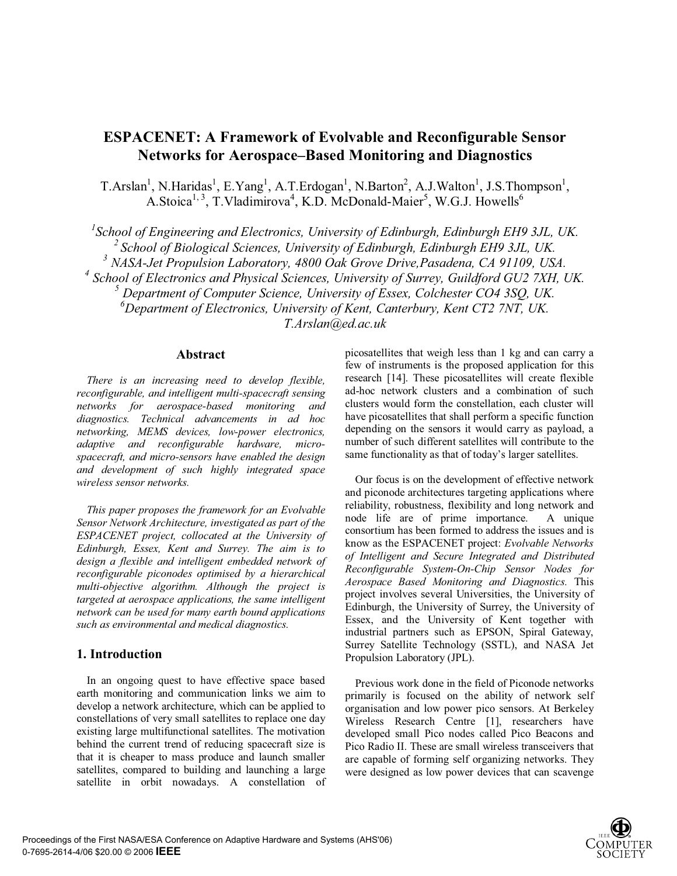# **ESPACENET: A Framework of Evolvable and Reconfigurable Sensor Networks for Aerospace–Based Monitoring and Diagnostics**

T.Arslan<sup>1</sup>, N.Haridas<sup>1</sup>, E.Yang<sup>1</sup>, A.T.Erdogan<sup>1</sup>, N.Barton<sup>2</sup>, A.J.Walton<sup>1</sup>, J.S.Thompson<sup>1</sup>, A.Stoica<sup>1, 3</sup>, T.Vladimirova<sup>4</sup>, K.D. McDonald-Maier<sup>5</sup>, W.G.J. Howells<sup>6</sup>

<sup>1</sup> School of Engineering and Electronics, University of Edinburgh, Edinburgh EH9 3JL, UK. *<sup>2</sup> School of Biological Sciences, University of Edinburgh, Edinburgh EH9 3JL, UK. 3 NASA-Jet Propulsion Laboratory, 4800 Oak Grove Drive,Pasadena, CA 91109, USA.*  <sup>4</sup> School of Electronics and Physical Sciences, University of Surrey, Guildford GU2 7XH, UK. *5 Department of Computer Science, University of Essex, Colchester CO4 3SQ, UK. 6 Department of Electronics, University of Kent, Canterbury, Kent CT2 7NT, UK. T.Arslan@ed.ac.uk* 

#### **Abstract**

*There is an increasing need to develop flexible, reconfigurable, and intelligent multi-spacecraft sensing networks for aerospace-based monitoring and diagnostics. Technical advancements in ad hoc networking, MEMS devices, low-power electronics, adaptive and reconfigurable hardware, microspacecraft, and micro-sensors have enabled the design and development of such highly integrated space wireless sensor networks.* 

*This paper proposes the framework for an Evolvable Sensor Network Architecture, investigated as part of the ESPACENET project, collocated at the University of Edinburgh, Essex, Kent and Surrey. The aim is to design a flexible and intelligent embedded network of reconfigurable piconodes optimised by a hierarchical multi-objective algorithm. Although the project is targeted at aerospace applications, the same intelligent network can be used for many earth bound applications such as environmental and medical diagnostics.* 

#### **1. Introduction**

In an ongoing quest to have effective space based earth monitoring and communication links we aim to develop a network architecture, which can be applied to constellations of very small satellites to replace one day existing large multifunctional satellites. The motivation behind the current trend of reducing spacecraft size is that it is cheaper to mass produce and launch smaller satellites, compared to building and launching a large satellite in orbit nowadays. A constellation of picosatellites that weigh less than 1 kg and can carry a few of instruments is the proposed application for this research [14]. These picosatellites will create flexible ad-hoc network clusters and a combination of such clusters would form the constellation, each cluster will have picosatellites that shall perform a specific function depending on the sensors it would carry as payload, a number of such different satellites will contribute to the same functionality as that of today's larger satellites.

Our focus is on the development of effective network and piconode architectures targeting applications where reliability, robustness, flexibility and long network and node life are of prime importance. A unique consortium has been formed to address the issues and is know as the ESPACENET project: *Evolvable Networks of Intelligent and Secure Integrated and Distributed Reconfigurable System-On-Chip Sensor Nodes for Aerospace Based Monitoring and Diagnostics.* This project involves several Universities, the University of Edinburgh, the University of Surrey, the University of Essex, and the University of Kent together with industrial partners such as EPSON, Spiral Gateway, Surrey Satellite Technology (SSTL), and NASA Jet Propulsion Laboratory (JPL).

Previous work done in the field of Piconode networks primarily is focused on the ability of network self organisation and low power pico sensors. At Berkeley Wireless Research Centre [1], researchers have developed small Pico nodes called Pico Beacons and Pico Radio II. These are small wireless transceivers that are capable of forming self organizing networks. They were designed as low power devices that can scavenge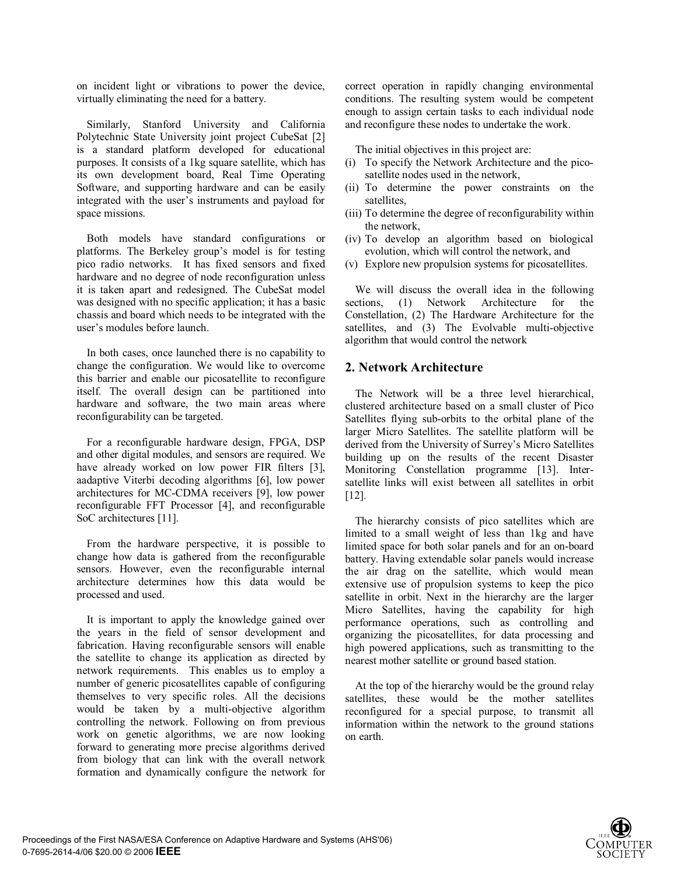on incident light or vibrations to power the device, virtually eliminating the need for a battery.

Similarly, Stanford University and California Polytechnic State University joint project CubeSat [2] is a standard platform developed for educational purposes. It consists of a 1kg square satellite, which has its own development board, Real Time Operating Software, and supporting hardware and can be easily integrated with the user's instruments and payload for space missions.

Both models have standard configurations or platforms. The Berkeley group's model is for testing pico radio networks. It has fixed sensors and fixed hardware and no degree of node reconfiguration unless it is taken apart and redesigned. The CubeSat model was designed with no specific application; it has a basic chassis and board which needs to be integrated with the user's modules before launch.

In both cases, once launched there is no capability to change the configuration. We would like to overcome this barrier and enable our picosatellite to reconfigure itself. The overall design can be partitioned into hardware and software, the two main areas where reconfigurability can be targeted.

For a reconfigurable hardware design, FPGA, DSP and other digital modules, and sensors are required. We have already worked on low power FIR filters [3], aadaptive Viterbi decoding algorithms [6], low power architectures for MC-CDMA receivers [9], low power reconfigurable FFT Processor [4], and reconfigurable SoC architectures [11].

From the hardware perspective, it is possible to change how data is gathered from the reconfigurable sensors. However, even the reconfigurable internal architecture determines how this data would be processed and used.

It is important to apply the knowledge gained over the years in the field of sensor development and fabrication. Having reconfigurable sensors will enable the satellite to change its application as directed by network requirements. This enables us to employ a number of generic picosatellites capable of configuring themselves to very specific roles. All the decisions would be taken by a multi-objective algorithm controlling the network. Following on from previous work on genetic algorithms, we are now looking forward to generating more precise algorithms derived from biology that can link with the overall network formation and dynamically configure the network for

correct operation in rapidly changing environmental conditions. The resulting system would be competent enough to assign certain tasks to each individual node and reconfigure these nodes to undertake the work.

The initial objectives in this project are:

- (i) To specify the Network Architecture and the picosatellite nodes used in the network,
- (ii) To determine the power constraints on the satellites,
- (iii) To determine the degree of reconfigurability within the network,
- (iv) To develop an algorithm based on biological evolution, which will control the network, and
- (v) Explore new propulsion systems for picosatellites.

We will discuss the overall idea in the following sections, (1) Network Architecture for the Constellation, (2) The Hardware Architecture for the satellites, and (3) The Evolvable multi-objective algorithm that would control the network

### **2. Network Architecture**

The Network will be a three level hierarchical, clustered architecture based on a small cluster of Pico Satellites flying sub-orbits to the orbital plane of the larger Micro Satellites. The satellite platform will be derived from the University of Surrey's Micro Satellites building up on the results of the recent Disaster Monitoring Constellation programme [13]. Intersatellite links will exist between all satellites in orbit [12].

The hierarchy consists of pico satellites which are limited to a small weight of less than 1kg and have limited space for both solar panels and for an on-board battery. Having extendable solar panels would increase the air drag on the satellite, which would mean extensive use of propulsion systems to keep the pico satellite in orbit. Next in the hierarchy are the larger Micro Satellites, having the capability for high performance operations, such as controlling and organizing the picosatellites, for data processing and high powered applications, such as transmitting to the nearest mother satellite or ground based station.

At the top of the hierarchy would be the ground relay satellites, these would be the mother satellites reconfigured for a special purpose, to transmit all information within the network to the ground stations on earth.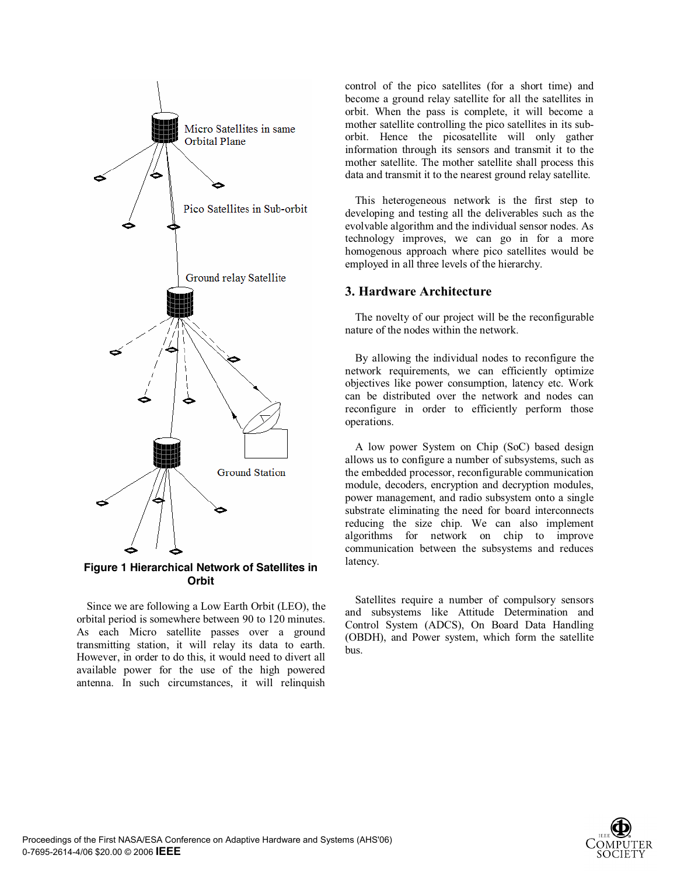

#### **Figure 1 Hierarchical Network of Satellites in Orbit**

Since we are following a Low Earth Orbit (LEO), the orbital period is somewhere between 90 to 120 minutes. As each Micro satellite passes over a ground transmitting station, it will relay its data to earth. However, in order to do this, it would need to divert all available power for the use of the high powered antenna. In such circumstances, it will relinquish

control of the pico satellites (for a short time) and become a ground relay satellite for all the satellites in orbit. When the pass is complete, it will become a mother satellite controlling the pico satellites in its suborbit. Hence the picosatellite will only gather information through its sensors and transmit it to the mother satellite. The mother satellite shall process this data and transmit it to the nearest ground relay satellite.

This heterogeneous network is the first step to developing and testing all the deliverables such as the evolvable algorithm and the individual sensor nodes. As technology improves, we can go in for a more homogenous approach where pico satellites would be employed in all three levels of the hierarchy.

### **3. Hardware Architecture**

The novelty of our project will be the reconfigurable nature of the nodes within the network.

By allowing the individual nodes to reconfigure the network requirements, we can efficiently optimize objectives like power consumption, latency etc. Work can be distributed over the network and nodes can reconfigure in order to efficiently perform those operations.

A low power System on Chip (SoC) based design allows us to configure a number of subsystems, such as the embedded processor, reconfigurable communication module, decoders, encryption and decryption modules, power management, and radio subsystem onto a single substrate eliminating the need for board interconnects reducing the size chip. We can also implement algorithms for network on chip to improve communication between the subsystems and reduces latency.

Satellites require a number of compulsory sensors and subsystems like Attitude Determination and Control System (ADCS), On Board Data Handling (OBDH), and Power system, which form the satellite bus.

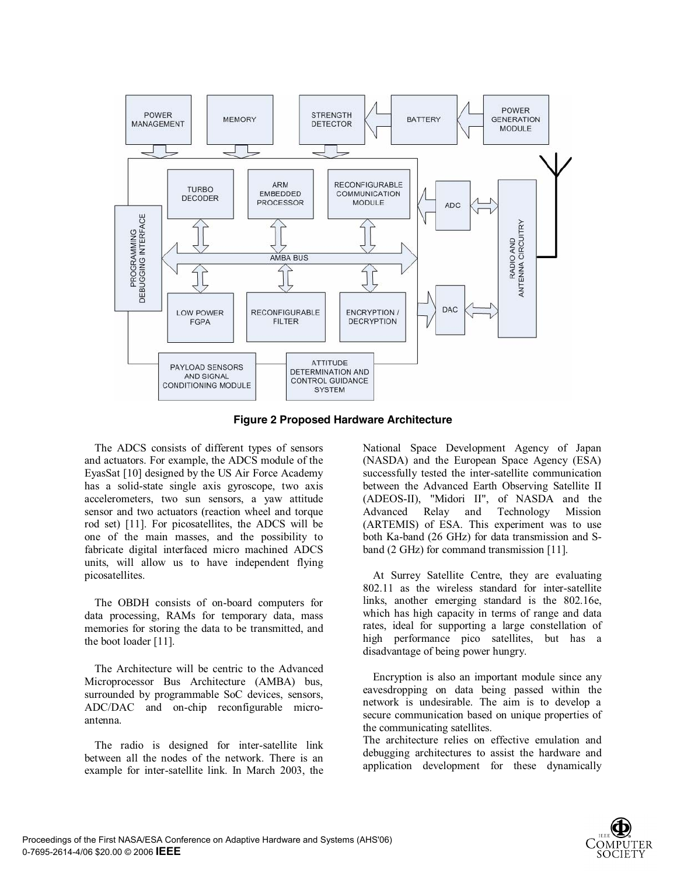

**Figure 2 Proposed Hardware Architecture** 

The ADCS consists of different types of sensors and actuators. For example, the ADCS module of the EyasSat [10] designed by the US Air Force Academy has a solid-state single axis gyroscope, two axis accelerometers, two sun sensors, a yaw attitude sensor and two actuators (reaction wheel and torque rod set) [11]. For picosatellites, the ADCS will be one of the main masses, and the possibility to fabricate digital interfaced micro machined ADCS units, will allow us to have independent flying picosatellites.

The OBDH consists of on-board computers for data processing, RAMs for temporary data, mass memories for storing the data to be transmitted, and the boot loader [11].

The Architecture will be centric to the Advanced Microprocessor Bus Architecture (AMBA) bus, surrounded by programmable SoC devices, sensors, ADC/DAC and on-chip reconfigurable microantenna.

The radio is designed for inter-satellite link between all the nodes of the network. There is an example for inter-satellite link. In March 2003, the

National Space Development Agency of Japan (NASDA) and the European Space Agency (ESA) successfully tested the inter-satellite communication between the Advanced Earth Observing Satellite II (ADEOS-II), "Midori II", of NASDA and the Advanced Relay and Technology Mission (ARTEMIS) of ESA. This experiment was to use both Ka-band (26 GHz) for data transmission and Sband (2 GHz) for command transmission [11].

At Surrey Satellite Centre, they are evaluating 802.11 as the wireless standard for inter-satellite links, another emerging standard is the 802.16e, which has high capacity in terms of range and data rates, ideal for supporting a large constellation of high performance pico satellites, but has a disadvantage of being power hungry.

Encryption is also an important module since any eavesdropping on data being passed within the network is undesirable. The aim is to develop a secure communication based on unique properties of the communicating satellites.

The architecture relies on effective emulation and debugging architectures to assist the hardware and application development for these dynamically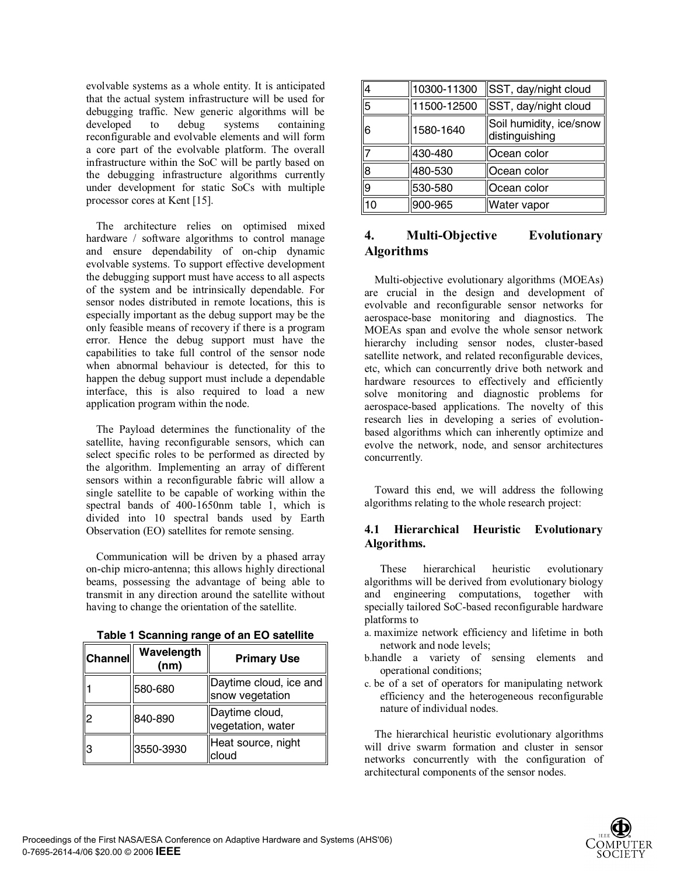evolvable systems as a whole entity. It is anticipated that the actual system infrastructure will be used for debugging traffic. New generic algorithms will be developed to debug systems containing developed to debug systems containing reconfigurable and evolvable elements and will form a core part of the evolvable platform. The overall infrastructure within the SoC will be partly based on the debugging infrastructure algorithms currently under development for static SoCs with multiple processor cores at Kent [15].

The architecture relies on optimised mixed hardware / software algorithms to control manage and ensure dependability of on-chip dynamic evolvable systems. To support effective development the debugging support must have access to all aspects of the system and be intrinsically dependable. For sensor nodes distributed in remote locations, this is especially important as the debug support may be the only feasible means of recovery if there is a program error. Hence the debug support must have the capabilities to take full control of the sensor node when abnormal behaviour is detected, for this to happen the debug support must include a dependable interface, this is also required to load a new application program within the node.

The Payload determines the functionality of the satellite, having reconfigurable sensors, which can select specific roles to be performed as directed by the algorithm. Implementing an array of different sensors within a reconfigurable fabric will allow a single satellite to be capable of working within the spectral bands of 400-1650nm table 1, which is divided into 10 spectral bands used by Earth Observation (EO) satellites for remote sensing.

Communication will be driven by a phased array on-chip micro-antenna; this allows highly directional beams, possessing the advantage of being able to transmit in any direction around the satellite without having to change the orientation of the satellite.

| <b>Channel</b> | Wavelength<br>(nm) | <b>Primary Use</b>                        |  |  |
|----------------|--------------------|-------------------------------------------|--|--|
|                | 580-680            | Daytime cloud, ice and<br>snow vegetation |  |  |
| 2              | 840-890            | Daytime cloud,<br>vegetation, water       |  |  |
| З              | 3550-3930          | Heat source, night<br>cloud               |  |  |

|  | Table 1 Scanning range of an EO satellite |  |  |  |
|--|-------------------------------------------|--|--|--|
|--|-------------------------------------------|--|--|--|

| 4  | 10300-11300 | SST, day/night cloud                      |
|----|-------------|-------------------------------------------|
| 5  | 11500-12500 | SST, day/night cloud                      |
| 6  | 1580-1640   | Soil humidity, ice/snow<br>distinguishing |
| 7  | 430-480     | Ocean color                               |
| 8  | 480-530     | Ocean color                               |
| 9  | 530-580     | Ocean color                               |
| 10 | 900-965     | Water vapor                               |
|    |             |                                           |

## **4. Multi-Objective Evolutionary Algorithms**

Multi-objective evolutionary algorithms (MOEAs) are crucial in the design and development of evolvable and reconfigurable sensor networks for aerospace-base monitoring and diagnostics. The MOEAs span and evolve the whole sensor network hierarchy including sensor nodes, cluster-based satellite network, and related reconfigurable devices, etc, which can concurrently drive both network and hardware resources to effectively and efficiently solve monitoring and diagnostic problems for aerospace-based applications. The novelty of this research lies in developing a series of evolutionbased algorithms which can inherently optimize and evolve the network, node, and sensor architectures concurrently.

Toward this end, we will address the following algorithms relating to the whole research project:

### **4.1 Hierarchical Heuristic Evolutionary Algorithms.**

These hierarchical heuristic evolutionary algorithms will be derived from evolutionary biology and engineering computations, together with specially tailored SoC-based reconfigurable hardware platforms to

- a. maximize network efficiency and lifetime in both network and node levels;
- b.handle a variety of sensing elements and operational conditions;
- c. be of a set of operators for manipulating network efficiency and the heterogeneous reconfigurable nature of individual nodes.

The hierarchical heuristic evolutionary algorithms will drive swarm formation and cluster in sensor networks concurrently with the configuration of architectural components of the sensor nodes.

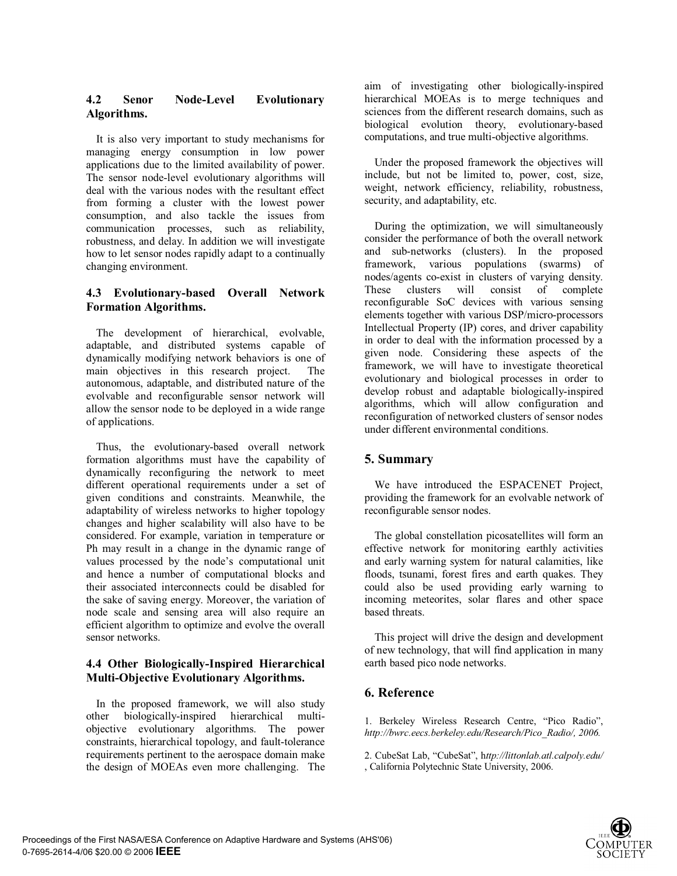## **4.2 Senor Node-Level Evolutionary Algorithms.**

It is also very important to study mechanisms for managing energy consumption in low power applications due to the limited availability of power. The sensor node-level evolutionary algorithms will deal with the various nodes with the resultant effect from forming a cluster with the lowest power consumption, and also tackle the issues from communication processes, such as reliability, robustness, and delay. In addition we will investigate how to let sensor nodes rapidly adapt to a continually changing environment.

### **4.3 Evolutionary-based Overall Network Formation Algorithms.**

The development of hierarchical, evolvable, adaptable, and distributed systems capable of dynamically modifying network behaviors is one of main objectives in this research project. The autonomous, adaptable, and distributed nature of the evolvable and reconfigurable sensor network will allow the sensor node to be deployed in a wide range of applications.

Thus, the evolutionary-based overall network formation algorithms must have the capability of dynamically reconfiguring the network to meet different operational requirements under a set of given conditions and constraints. Meanwhile, the adaptability of wireless networks to higher topology changes and higher scalability will also have to be considered. For example, variation in temperature or Ph may result in a change in the dynamic range of values processed by the node's computational unit and hence a number of computational blocks and their associated interconnects could be disabled for the sake of saving energy. Moreover, the variation of node scale and sensing area will also require an efficient algorithm to optimize and evolve the overall sensor networks.

## **4.4 Other Biologically-Inspired Hierarchical Multi-Objective Evolutionary Algorithms.**

In the proposed framework, we will also study other biologically-inspired hierarchical multiobjective evolutionary algorithms. The power constraints, hierarchical topology, and fault-tolerance requirements pertinent to the aerospace domain make the design of MOEAs even more challenging. The aim of investigating other biologically-inspired hierarchical MOEAs is to merge techniques and sciences from the different research domains, such as biological evolution theory, evolutionary-based computations, and true multi-objective algorithms.

Under the proposed framework the objectives will include, but not be limited to, power, cost, size, weight, network efficiency, reliability, robustness, security, and adaptability, etc.

During the optimization, we will simultaneously consider the performance of both the overall network and sub-networks (clusters). In the proposed framework, various populations (swarms) of nodes/agents co-exist in clusters of varying density. These clusters will consist of complete reconfigurable SoC devices with various sensing elements together with various DSP/micro-processors Intellectual Property (IP) cores, and driver capability in order to deal with the information processed by a given node. Considering these aspects of the framework, we will have to investigate theoretical evolutionary and biological processes in order to develop robust and adaptable biologically-inspired algorithms, which will allow configuration and reconfiguration of networked clusters of sensor nodes under different environmental conditions.

## **5. Summary**

We have introduced the ESPACENET Project, providing the framework for an evolvable network of reconfigurable sensor nodes.

The global constellation picosatellites will form an effective network for monitoring earthly activities and early warning system for natural calamities, like floods, tsunami, forest fires and earth quakes. They could also be used providing early warning to incoming meteorites, solar flares and other space based threats.

This project will drive the design and development of new technology, that will find application in many earth based pico node networks.

## **6. Reference**

1. Berkeley Wireless Research Centre, "Pico Radio", *http://bwrc.eecs.berkeley.edu/Research/Pico\_Radio/, 2006.* 

2. CubeSat Lab, "CubeSat", h*ttp://littonlab.atl.calpoly.edu/*  , California Polytechnic State University, 2006.